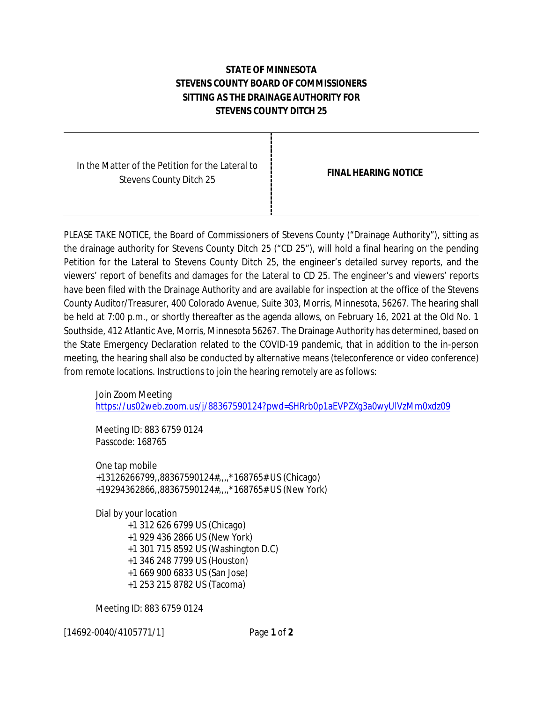## **STATE OF MINNESOTA STEVENS COUNTY BOARD OF COMMISSIONERS SITTING AS THE DRAINAGE AUTHORITY FOR STEVENS COUNTY DITCH 25**

| <b>FINAL HEARING NOTICE</b> |
|-----------------------------|
|                             |

H

PLEASE TAKE NOTICE, the Board of Commissioners of Stevens County ("Drainage Authority"), sitting as the drainage authority for Stevens County Ditch 25 ("CD 25"), will hold a final hearing on the pending Petition for the Lateral to Stevens County Ditch 25, the engineer's detailed survey reports, and the viewers' report of benefits and damages for the Lateral to CD 25. The engineer's and viewers' reports have been filed with the Drainage Authority and are available for inspection at the office of the Stevens County Auditor/Treasurer, 400 Colorado Avenue, Suite 303, Morris, Minnesota, 56267. The hearing shall be held at 7:00 p.m., or shortly thereafter as the agenda allows, on February 16, 2021 at the Old No. 1 Southside, 412 Atlantic Ave, Morris, Minnesota 56267. The Drainage Authority has determined, based on the State Emergency Declaration related to the COVID-19 pandemic, that in addition to the in-person meeting, the hearing shall also be conducted by alternative means (teleconference or video conference) from remote locations. Instructions to join the hearing remotely are as follows:

Join Zoom Meeting <https://us02web.zoom.us/j/88367590124?pwd=SHRrb0p1aEVPZXg3a0wyUlVzMm0xdz09>

Meeting ID: 883 6759 0124 Passcode: 168765

One tap mobile +13126266799,,88367590124#,,,,\*168765# US (Chicago) +19294362866,,88367590124#,,,,\*168765# US (New York)

Dial by your location

 +1 312 626 6799 US (Chicago) +1 929 436 2866 US (New York) +1 301 715 8592 US (Washington D.C) +1 346 248 7799 US (Houston) +1 669 900 6833 US (San Jose) +1 253 215 8782 US (Tacoma)

Meeting ID: 883 6759 0124

[14692-0040/4105771/1] Page **1** of **2**